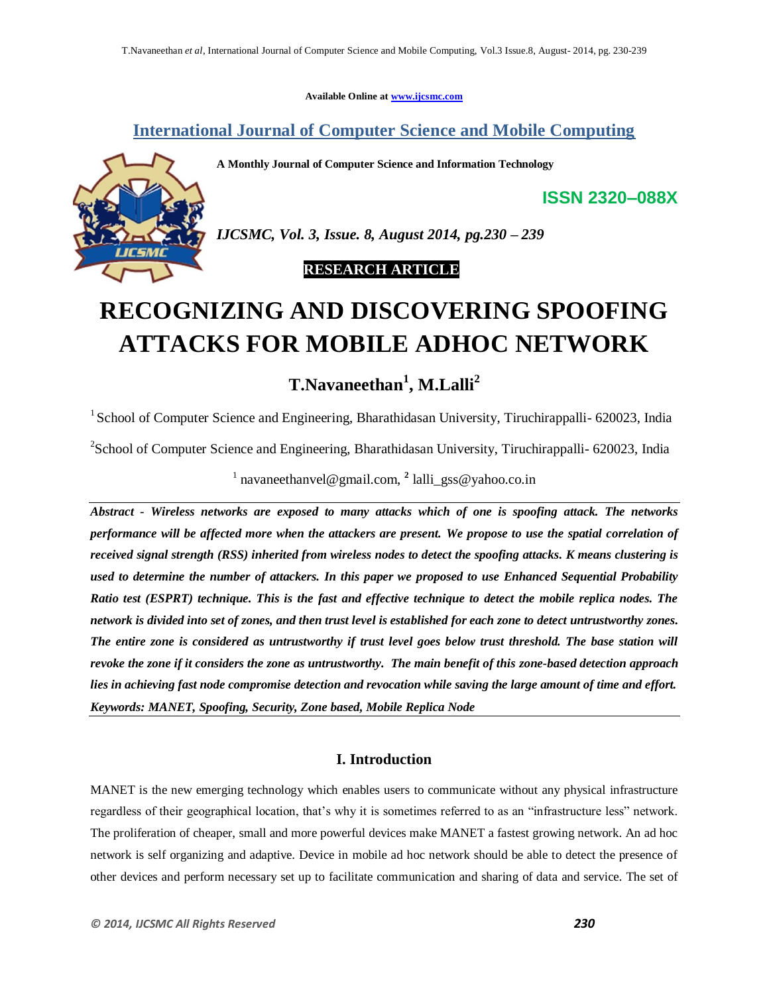**Available Online at www.ijcsmc.com**

**International Journal of Computer Science and Mobile Computing**

**A Monthly Journal of Computer Science and Information Technology**



*IJCSMC, Vol. 3, Issue. 8, August 2014, pg.230 – 239*

# **RESEARCH ARTICLE**

# **RECOGNIZING AND DISCOVERING SPOOFING ATTACKS FOR MOBILE ADHOC NETWORK**

# **T.Navaneethan<sup>1</sup> , M.Lalli<sup>2</sup>**

<sup>1</sup> School of Computer Science and Engineering, Bharathidasan University, Tiruchirappalli- 620023, India

<sup>2</sup>School of Computer Science and Engineering, Bharathidasan University, Tiruchirappalli- 620023, India

<sup>1</sup> navaneethanvel@gmail.com, <sup>2</sup> lalli\_gss@yahoo.co.in

*Abstract - Wireless networks are exposed to many attacks which of one is spoofing attack. The networks performance will be affected more when the attackers are present. We propose to use the spatial correlation of received signal strength (RSS) inherited from wireless nodes to detect the spoofing attacks. K means clustering is used to determine the number of attackers. In this paper we proposed to use Enhanced Sequential Probability Ratio test (ESPRT) technique. This is the fast and effective technique to detect the mobile replica nodes. The network is divided into set of zones, and then trust level is established for each zone to detect untrustworthy zones. The entire zone is considered as untrustworthy if trust level goes below trust threshold. The base station will revoke the zone if it considers the zone as untrustworthy. The main benefit of this zone-based detection approach lies in achieving fast node compromise detection and revocation while saving the large amount of time and effort. Keywords: MANET, Spoofing, Security, Zone based, Mobile Replica Node*

# **I. Introduction**

MANET is the new emerging technology which enables users to communicate without any physical infrastructure regardless of their geographical location, that"s why it is sometimes referred to as an "infrastructure less" network. The proliferation of cheaper, small and more powerful devices make MANET a fastest growing network. An ad hoc network is self organizing and adaptive. Device in mobile ad hoc network should be able to detect the presence of other devices and perform necessary set up to facilitate communication and sharing of data and service. The set of

**ISSN 2320–088X**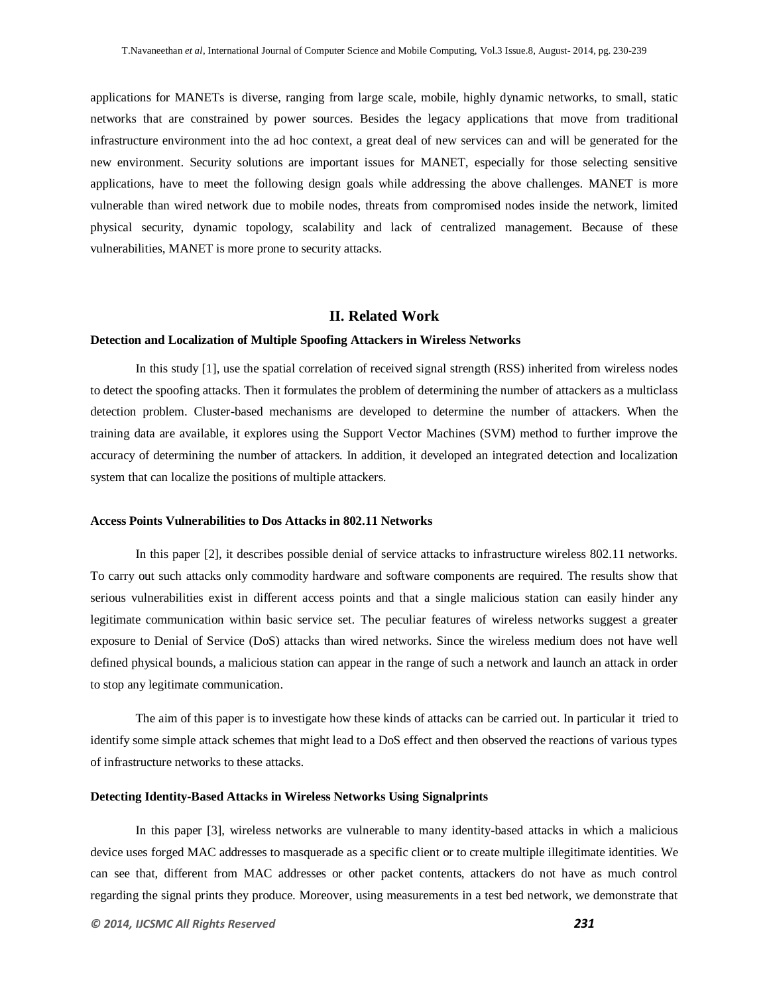applications for MANETs is diverse, ranging from large scale, mobile, highly dynamic networks, to small, static networks that are constrained by power sources. Besides the legacy applications that move from traditional infrastructure environment into the ad hoc context, a great deal of new services can and will be generated for the new environment. Security solutions are important issues for MANET, especially for those selecting sensitive applications, have to meet the following design goals while addressing the above challenges. MANET is more vulnerable than wired network due to mobile nodes, threats from compromised nodes inside the network, limited physical security, dynamic topology, scalability and lack of centralized management. Because of these vulnerabilities, MANET is more prone to security attacks.

#### **II. Related Work**

#### **Detection and Localization of Multiple Spoofing Attackers in Wireless Networks**

In this study [1], use the spatial correlation of received signal strength (RSS) inherited from wireless nodes to detect the spoofing attacks. Then it formulates the problem of determining the number of attackers as a multiclass detection problem. Cluster-based mechanisms are developed to determine the number of attackers. When the training data are available, it explores using the Support Vector Machines (SVM) method to further improve the accuracy of determining the number of attackers. In addition, it developed an integrated detection and localization system that can localize the positions of multiple attackers.

#### **Access Points Vulnerabilities to Dos Attacks in 802.11 Networks**

In this paper [2], it describes possible denial of service attacks to infrastructure wireless 802.11 networks. To carry out such attacks only commodity hardware and software components are required. The results show that serious vulnerabilities exist in different access points and that a single malicious station can easily hinder any legitimate communication within basic service set. The peculiar features of wireless networks suggest a greater exposure to Denial of Service (DoS) attacks than wired networks. Since the wireless medium does not have well defined physical bounds, a malicious station can appear in the range of such a network and launch an attack in order to stop any legitimate communication.

The aim of this paper is to investigate how these kinds of attacks can be carried out. In particular it tried to identify some simple attack schemes that might lead to a DoS effect and then observed the reactions of various types of infrastructure networks to these attacks.

#### **Detecting Identity-Based Attacks in Wireless Networks Using Signalprints**

In this paper [3], wireless networks are vulnerable to many identity-based attacks in which a malicious device uses forged MAC addresses to masquerade as a specific client or to create multiple illegitimate identities. We can see that, different from MAC addresses or other packet contents, attackers do not have as much control regarding the signal prints they produce. Moreover, using measurements in a test bed network, we demonstrate that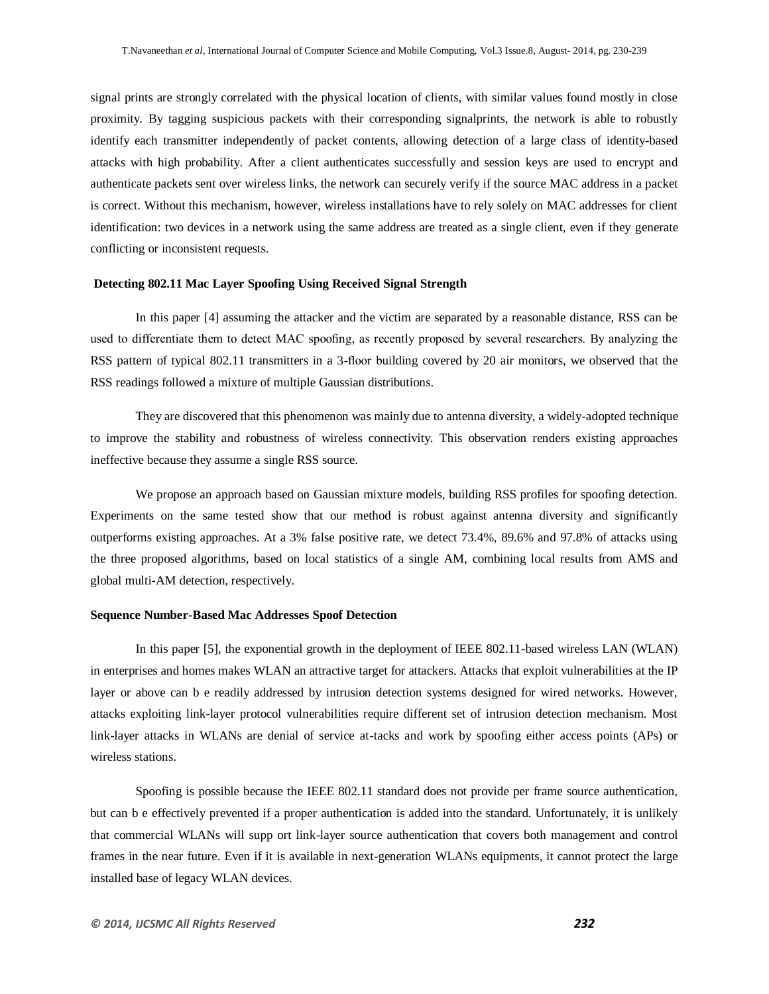signal prints are strongly correlated with the physical location of clients, with similar values found mostly in close proximity. By tagging suspicious packets with their corresponding signalprints, the network is able to robustly identify each transmitter independently of packet contents, allowing detection of a large class of identity-based attacks with high probability. After a client authenticates successfully and session keys are used to encrypt and authenticate packets sent over wireless links, the network can securely verify if the source MAC address in a packet is correct. Without this mechanism, however, wireless installations have to rely solely on MAC addresses for client identification: two devices in a network using the same address are treated as a single client, even if they generate conflicting or inconsistent requests.

#### **Detecting 802.11 Mac Layer Spoofing Using Received Signal Strength**

In this paper [4] assuming the attacker and the victim are separated by a reasonable distance, RSS can be used to differentiate them to detect MAC spoofing, as recently proposed by several researchers. By analyzing the RSS pattern of typical 802.11 transmitters in a 3-floor building covered by 20 air monitors, we observed that the RSS readings followed a mixture of multiple Gaussian distributions.

They are discovered that this phenomenon was mainly due to antenna diversity, a widely-adopted technique to improve the stability and robustness of wireless connectivity. This observation renders existing approaches ineffective because they assume a single RSS source.

We propose an approach based on Gaussian mixture models, building RSS profiles for spoofing detection. Experiments on the same tested show that our method is robust against antenna diversity and significantly outperforms existing approaches. At a 3% false positive rate, we detect 73.4%, 89.6% and 97.8% of attacks using the three proposed algorithms, based on local statistics of a single AM, combining local results from AMS and global multi-AM detection, respectively.

#### **Sequence Number-Based Mac Addresses Spoof Detection**

In this paper [5], the exponential growth in the deployment of IEEE 802.11-based wireless LAN (WLAN) in enterprises and homes makes WLAN an attractive target for attackers. Attacks that exploit vulnerabilities at the IP layer or above can b e readily addressed by intrusion detection systems designed for wired networks. However, attacks exploiting link-layer protocol vulnerabilities require different set of intrusion detection mechanism. Most link-layer attacks in WLANs are denial of service at-tacks and work by spoofing either access points (APs) or wireless stations.

Spoofing is possible because the IEEE 802.11 standard does not provide per frame source authentication, but can b e effectively prevented if a proper authentication is added into the standard. Unfortunately, it is unlikely that commercial WLANs will supp ort link-layer source authentication that covers both management and control frames in the near future. Even if it is available in next-generation WLANs equipments, it cannot protect the large installed base of legacy WLAN devices.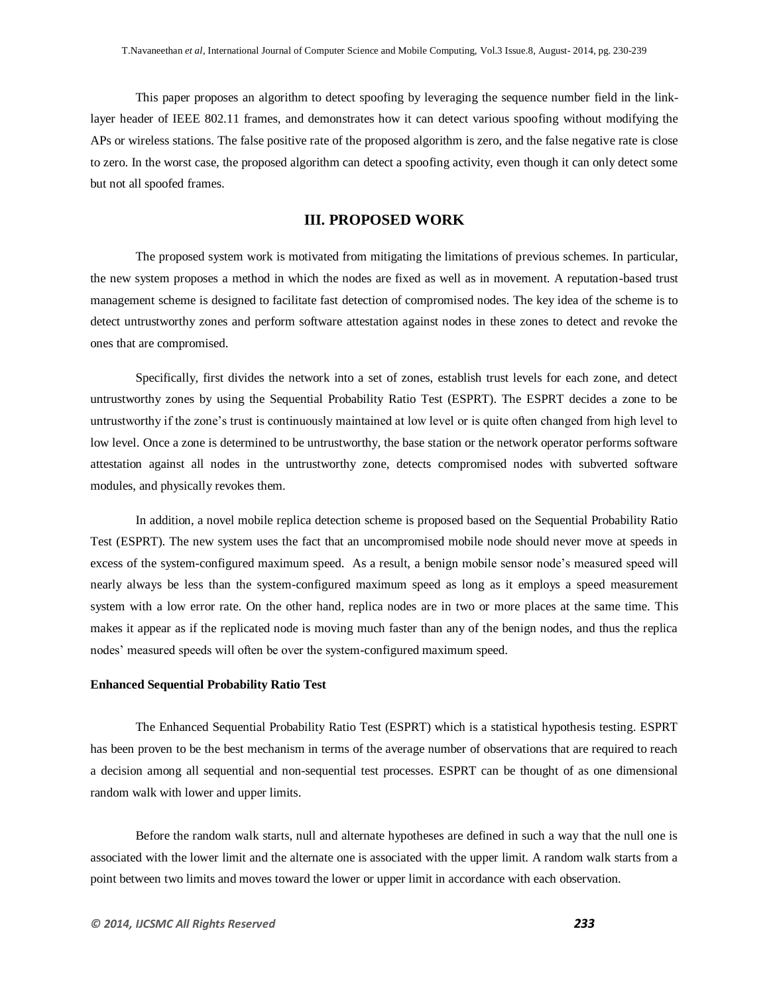This paper proposes an algorithm to detect spoofing by leveraging the sequence number field in the linklayer header of IEEE 802.11 frames, and demonstrates how it can detect various spoofing without modifying the APs or wireless stations. The false positive rate of the proposed algorithm is zero, and the false negative rate is close to zero. In the worst case, the proposed algorithm can detect a spoofing activity, even though it can only detect some but not all spoofed frames.

# **III. PROPOSED WORK**

The proposed system work is motivated from mitigating the limitations of previous schemes. In particular, the new system proposes a method in which the nodes are fixed as well as in movement. A reputation-based trust management scheme is designed to facilitate fast detection of compromised nodes. The key idea of the scheme is to detect untrustworthy zones and perform software attestation against nodes in these zones to detect and revoke the ones that are compromised.

Specifically, first divides the network into a set of zones, establish trust levels for each zone, and detect untrustworthy zones by using the Sequential Probability Ratio Test (ESPRT). The ESPRT decides a zone to be untrustworthy if the zone"s trust is continuously maintained at low level or is quite often changed from high level to low level. Once a zone is determined to be untrustworthy, the base station or the network operator performs software attestation against all nodes in the untrustworthy zone, detects compromised nodes with subverted software modules, and physically revokes them.

In addition, a novel mobile replica detection scheme is proposed based on the Sequential Probability Ratio Test (ESPRT). The new system uses the fact that an uncompromised mobile node should never move at speeds in excess of the system-configured maximum speed. As a result, a benign mobile sensor node"s measured speed will nearly always be less than the system-configured maximum speed as long as it employs a speed measurement system with a low error rate. On the other hand, replica nodes are in two or more places at the same time. This makes it appear as if the replicated node is moving much faster than any of the benign nodes, and thus the replica nodes" measured speeds will often be over the system-configured maximum speed.

#### **Enhanced Sequential Probability Ratio Test**

The Enhanced Sequential Probability Ratio Test (ESPRT) which is a statistical hypothesis testing. ESPRT has been proven to be the best mechanism in terms of the average number of observations that are required to reach a decision among all sequential and non-sequential test processes. ESPRT can be thought of as one dimensional random walk with lower and upper limits.

Before the random walk starts, null and alternate hypotheses are defined in such a way that the null one is associated with the lower limit and the alternate one is associated with the upper limit. A random walk starts from a point between two limits and moves toward the lower or upper limit in accordance with each observation.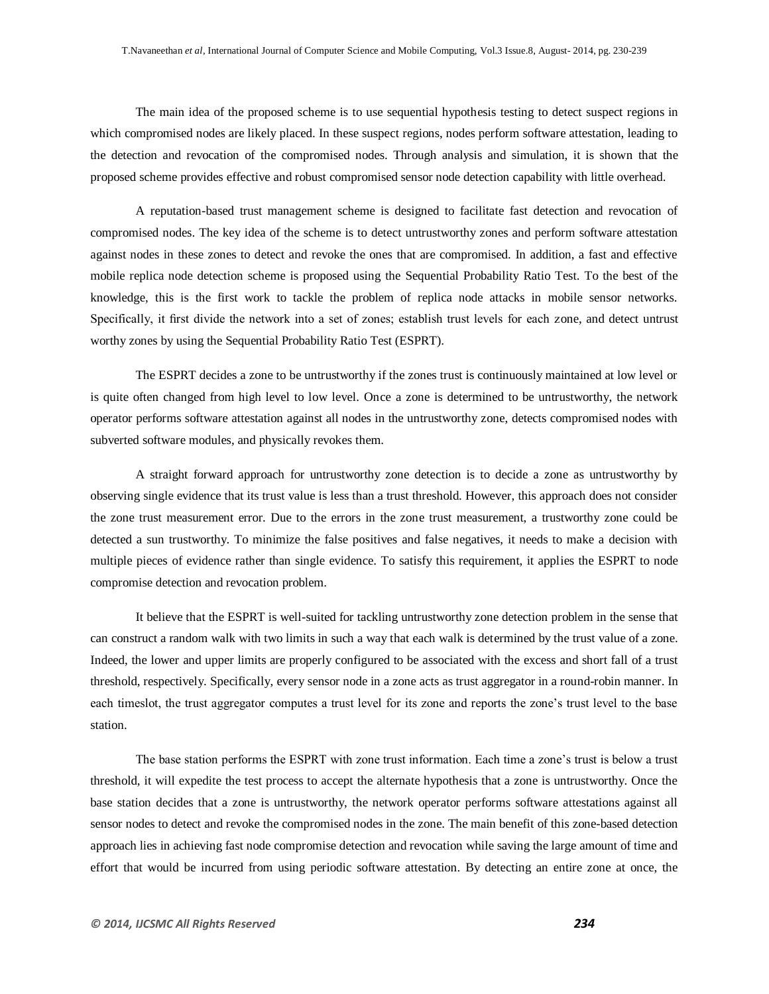The main idea of the proposed scheme is to use sequential hypothesis testing to detect suspect regions in which compromised nodes are likely placed. In these suspect regions, nodes perform software attestation, leading to the detection and revocation of the compromised nodes. Through analysis and simulation, it is shown that the proposed scheme provides effective and robust compromised sensor node detection capability with little overhead.

A reputation-based trust management scheme is designed to facilitate fast detection and revocation of compromised nodes. The key idea of the scheme is to detect untrustworthy zones and perform software attestation against nodes in these zones to detect and revoke the ones that are compromised. In addition, a fast and effective mobile replica node detection scheme is proposed using the Sequential Probability Ratio Test. To the best of the knowledge, this is the first work to tackle the problem of replica node attacks in mobile sensor networks. Specifically, it first divide the network into a set of zones; establish trust levels for each zone, and detect untrust worthy zones by using the Sequential Probability Ratio Test (ESPRT).

The ESPRT decides a zone to be untrustworthy if the zones trust is continuously maintained at low level or is quite often changed from high level to low level. Once a zone is determined to be untrustworthy, the network operator performs software attestation against all nodes in the untrustworthy zone, detects compromised nodes with subverted software modules, and physically revokes them.

A straight forward approach for untrustworthy zone detection is to decide a zone as untrustworthy by observing single evidence that its trust value is less than a trust threshold. However, this approach does not consider the zone trust measurement error. Due to the errors in the zone trust measurement, a trustworthy zone could be detected a sun trustworthy. To minimize the false positives and false negatives, it needs to make a decision with multiple pieces of evidence rather than single evidence. To satisfy this requirement, it applies the ESPRT to node compromise detection and revocation problem.

It believe that the ESPRT is well-suited for tackling untrustworthy zone detection problem in the sense that can construct a random walk with two limits in such a way that each walk is determined by the trust value of a zone. Indeed, the lower and upper limits are properly configured to be associated with the excess and short fall of a trust threshold, respectively. Specifically, every sensor node in a zone acts as trust aggregator in a round-robin manner. In each timeslot, the trust aggregator computes a trust level for its zone and reports the zone"s trust level to the base station.

The base station performs the ESPRT with zone trust information. Each time a zone"s trust is below a trust threshold, it will expedite the test process to accept the alternate hypothesis that a zone is untrustworthy. Once the base station decides that a zone is untrustworthy, the network operator performs software attestations against all sensor nodes to detect and revoke the compromised nodes in the zone. The main benefit of this zone-based detection approach lies in achieving fast node compromise detection and revocation while saving the large amount of time and effort that would be incurred from using periodic software attestation. By detecting an entire zone at once, the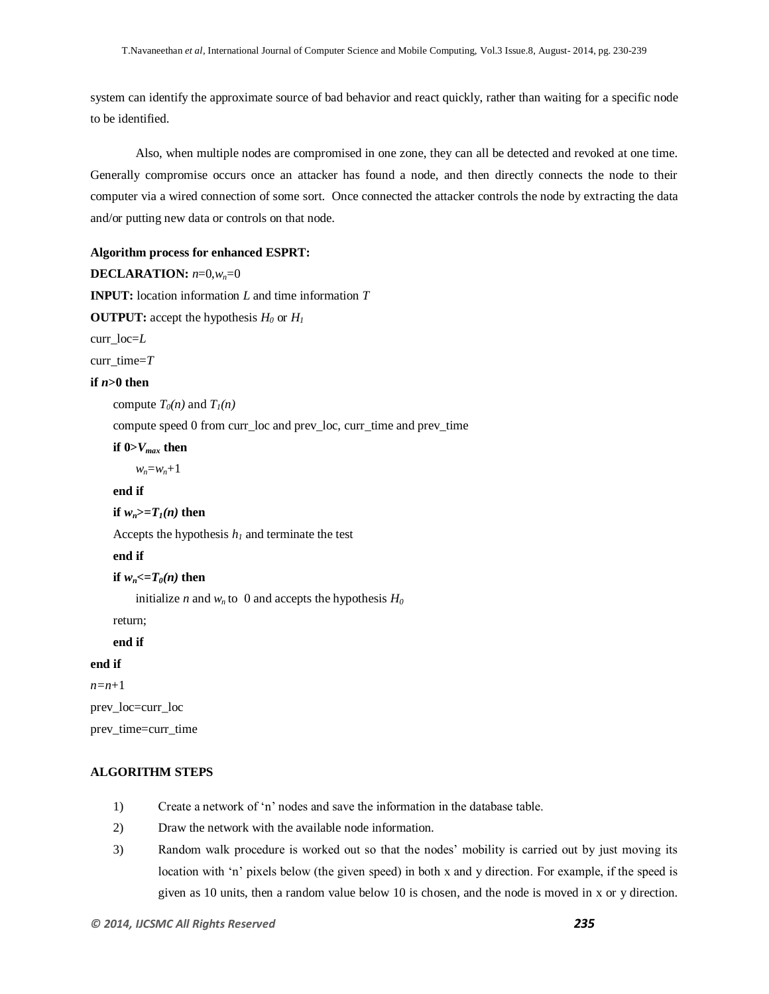system can identify the approximate source of bad behavior and react quickly, rather than waiting for a specific node to be identified.

Also, when multiple nodes are compromised in one zone, they can all be detected and revoked at one time. Generally compromise occurs once an attacker has found a node, and then directly connects the node to their computer via a wired connection of some sort. Once connected the attacker controls the node by extracting the data and/or putting new data or controls on that node.

#### **Algorithm process for enhanced ESPRT:**

```
DECLARATION: n=0,wn=0
```
**INPUT:** location information *L* and time information *T*

**OUTPUT:** accept the hypothesis  $H_0$  or  $H_1$ 

curr\_loc=*L*

curr\_time=*T*

#### **if**  $n>0$  then

compute  $T_0(n)$  and  $T_1(n)$ 

compute speed 0 from curr\_loc and prev\_loc, curr\_time and prev\_time

**if 0>***Vmax* **then**

 $w_n = w_n + 1$ 

# **end if**

**if**  $w_n$  > =  $T_1(n)$  then

Accepts the hypothesis  $h<sub>l</sub>$  and terminate the test

#### **end if**

**if**  $w_n \leq T_0(n)$  then

initialize *n* and  $w_n$  to 0 and accepts the hypothesis  $H_0$ 

return;

**end if**

# **end if**

*n=n*+1

prev\_loc=curr\_loc

prev\_time=curr\_time

## **ALGORITHM STEPS**

- 1) Create a network of "n" nodes and save the information in the database table.
- 2) Draw the network with the available node information.
- 3) Random walk procedure is worked out so that the nodes" mobility is carried out by just moving its location with 'n' pixels below (the given speed) in both x and y direction. For example, if the speed is given as 10 units, then a random value below 10 is chosen, and the node is moved in x or y direction.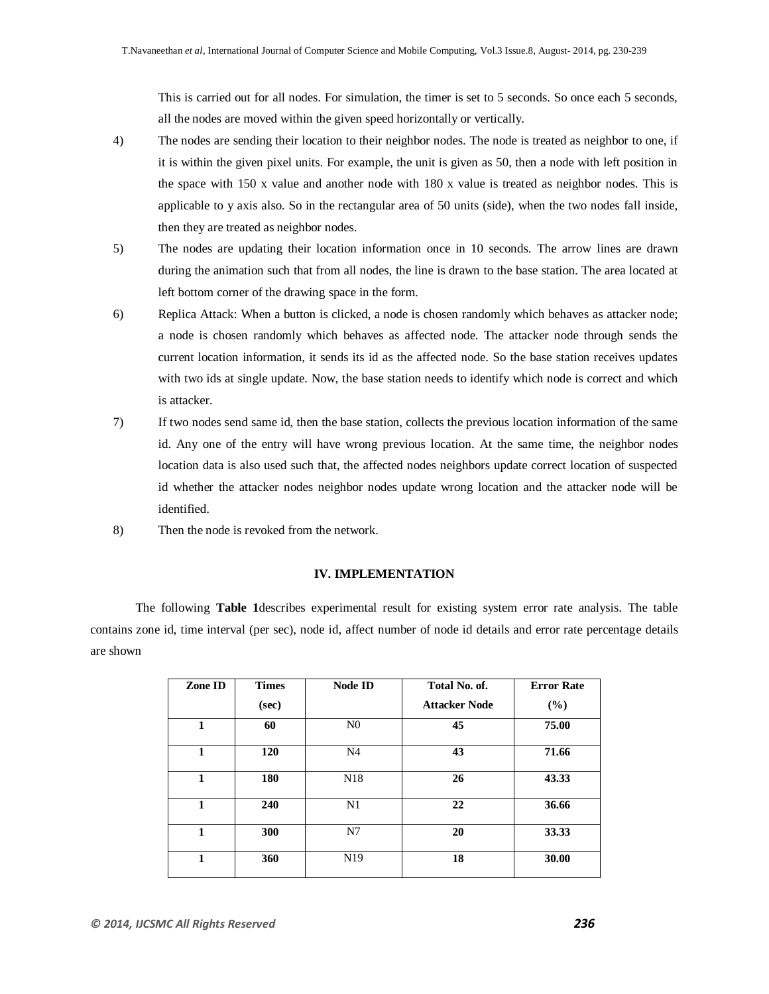This is carried out for all nodes. For simulation, the timer is set to 5 seconds. So once each 5 seconds, all the nodes are moved within the given speed horizontally or vertically.

- 4) The nodes are sending their location to their neighbor nodes. The node is treated as neighbor to one, if it is within the given pixel units. For example, the unit is given as 50, then a node with left position in the space with 150 x value and another node with 180 x value is treated as neighbor nodes. This is applicable to y axis also. So in the rectangular area of 50 units (side), when the two nodes fall inside, then they are treated as neighbor nodes.
- 5) The nodes are updating their location information once in 10 seconds. The arrow lines are drawn during the animation such that from all nodes, the line is drawn to the base station. The area located at left bottom corner of the drawing space in the form.
- 6) Replica Attack: When a button is clicked, a node is chosen randomly which behaves as attacker node; a node is chosen randomly which behaves as affected node. The attacker node through sends the current location information, it sends its id as the affected node. So the base station receives updates with two ids at single update. Now, the base station needs to identify which node is correct and which is attacker.
- 7) If two nodes send same id, then the base station, collects the previous location information of the same id. Any one of the entry will have wrong previous location. At the same time, the neighbor nodes location data is also used such that, the affected nodes neighbors update correct location of suspected id whether the attacker nodes neighbor nodes update wrong location and the attacker node will be identified.
- 8) Then the node is revoked from the network.

## **IV. IMPLEMENTATION**

The following **Table 1**describes experimental result for existing system error rate analysis. The table contains zone id, time interval (per sec), node id, affect number of node id details and error rate percentage details are shown

| Zone ID | <b>Times</b><br>(sec) | <b>Node ID</b>  | Total No. of.<br><b>Attacker Node</b> | <b>Error Rate</b><br>$(\%)$ |
|---------|-----------------------|-----------------|---------------------------------------|-----------------------------|
| 1       | 60                    | N <sub>0</sub>  | 45                                    | 75.00                       |
| 1       | <b>120</b>            | N <sub>4</sub>  | 43                                    | 71.66                       |
| 1       | 180                   | N <sub>18</sub> | 26                                    | 43.33                       |
| 1       | 240                   | N1              | 22                                    | 36.66                       |
| 1       | 300                   | N7              | 20                                    | 33.33                       |
| 1       | 360                   | N <sub>19</sub> | 18                                    | 30.00                       |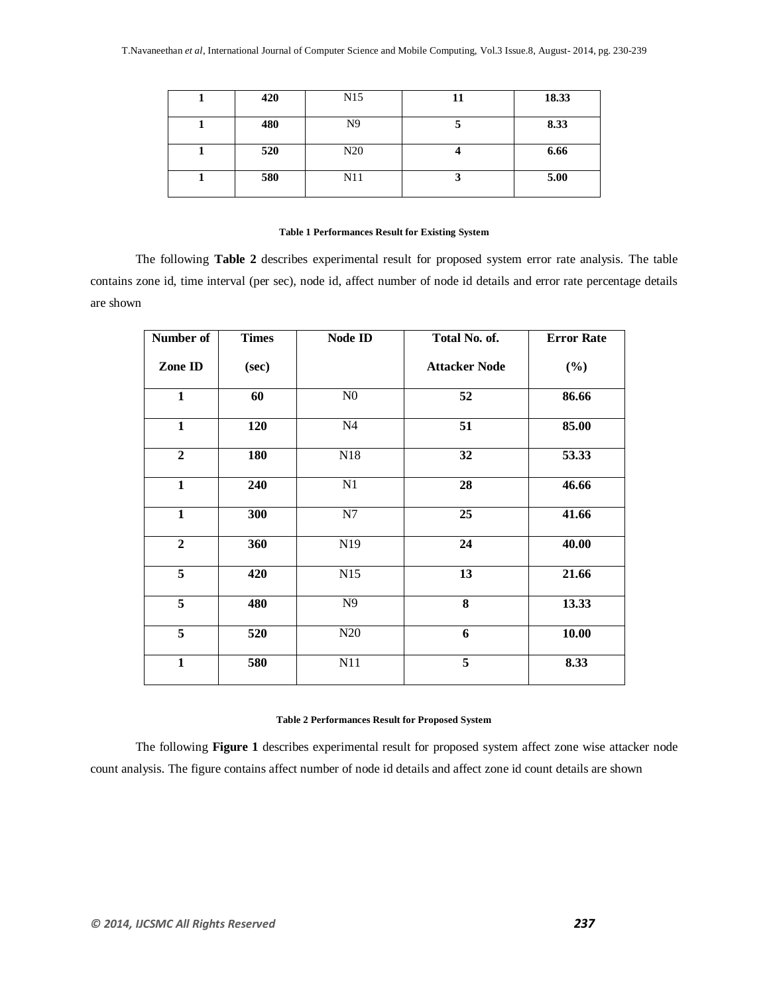| 420 | N <sub>15</sub> | 11 | 18.33 |
|-----|-----------------|----|-------|
| 480 | N <sub>9</sub>  |    | 8.33  |
| 520 | N20             |    | 6.66  |
| 580 | N11             | ັ  | 5.00  |

#### **Table 1 Performances Result for Existing System**

The following **Table 2** describes experimental result for proposed system error rate analysis. The table contains zone id, time interval (per sec), node id, affect number of node id details and error rate percentage details are shown

| Number of               | <b>Times</b> | Node ID        | Total No. of.        | <b>Error Rate</b> |
|-------------------------|--------------|----------------|----------------------|-------------------|
| Zone ID                 | (sec)        |                | <b>Attacker Node</b> | $(\%)$            |
| $\overline{\mathbf{1}}$ | 60           | N <sub>0</sub> | 52                   | 86.66             |
| $\mathbf{1}$            | 120          | N <sub>4</sub> | 51                   | 85.00             |
| $\overline{2}$          | 180          | N18            | 32                   | 53.33             |
| $\mathbf{1}$            | 240          | N1             | 28                   | 46.66             |
| $\mathbf{1}$            | 300          | N7             | 25                   | 41.66             |
| $\overline{2}$          | 360          | N19            | 24                   | 40.00             |
| 5                       | 420          | N15            | 13                   | 21.66             |
| 5                       | 480          | N9             | 8                    | 13.33             |
| $\overline{5}$          | 520          | N20            | 6                    | 10.00             |
| $\mathbf{1}$            | 580          | N11            | $\overline{5}$       | 8.33              |

#### **Table 2 Performances Result for Proposed System**

The following **Figure 1** describes experimental result for proposed system affect zone wise attacker node count analysis. The figure contains affect number of node id details and affect zone id count details are shown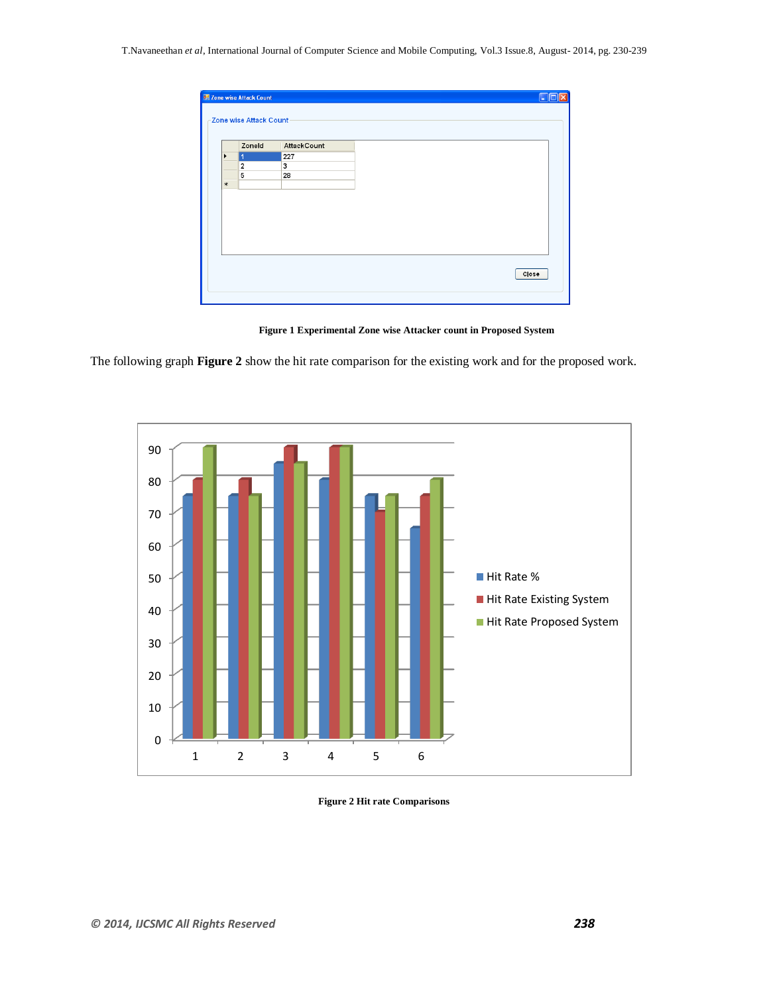|                       | Zoneld         | AttackCount |  |
|-----------------------|----------------|-------------|--|
| $\blacktriangleright$ | r              | 227         |  |
|                       | $\overline{2}$ | 3           |  |
|                       | 5              | 28          |  |
| $\ast$                |                |             |  |
|                       |                |             |  |
|                       |                |             |  |
|                       |                |             |  |
|                       |                |             |  |
|                       |                |             |  |
|                       |                |             |  |
|                       |                |             |  |
|                       |                |             |  |
|                       |                |             |  |

**Figure 1 Experimental Zone wise Attacker count in Proposed System**

The following graph **Figure 2** show the hit rate comparison for the existing work and for the proposed work.



**Figure 2 Hit rate Comparisons**